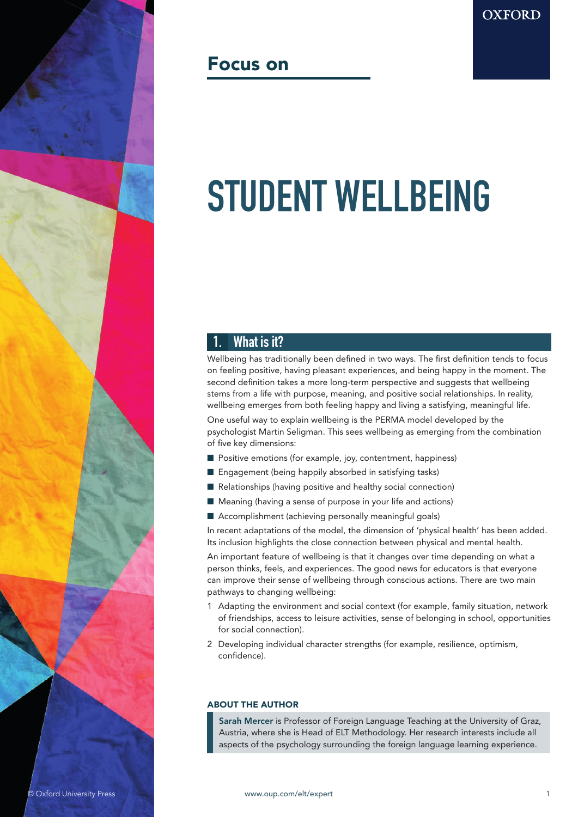

# Focus on

# STUDENT WELLBEING

## What is it?

Wellbeing has traditionally been defined in two ways. The first definition tends to focus on feeling positive, having pleasant experiences, and being happy in the moment. The second definition takes a more long-term perspective and suggests that wellbeing stems from a life with purpose, meaning, and positive social relationships. In reality, wellbeing emerges from both feeling happy and living a satisfying, meaningful life.

One useful way to explain wellbeing is the PERMA model developed by the psychologist Martin Seligman. This sees wellbeing as emerging from the combination of five key dimensions:

- Positive emotions (for example, joy, contentment, happiness)
- Engagement (being happily absorbed in satisfying tasks)
- Relationships (having positive and healthy social connection)
- Meaning (having a sense of purpose in your life and actions)
- Accomplishment (achieving personally meaningful goals)

In recent adaptations of the model, the dimension of 'physical health' has been added. Its inclusion highlights the close connection between physical and mental health.

An important feature of wellbeing is that it changes over time depending on what a person thinks, feels, and experiences. The good news for educators is that everyone can improve their sense of wellbeing through conscious actions. There are two main pathways to changing wellbeing:

- 1 Adapting the environment and social context (for example, family situation, network of friendships, access to leisure activities, sense of belonging in school, opportunities for social connection).
- 2 Developing individual character strengths (for example, resilience, optimism, confidence).

#### ABOUT THE AUTHOR

Sarah Mercer is Professor of Foreign Language Teaching at the University of Graz, Austria, where she is Head of ELT Methodology. Her research interests include all aspects of the psychology surrounding the foreign language learning experience.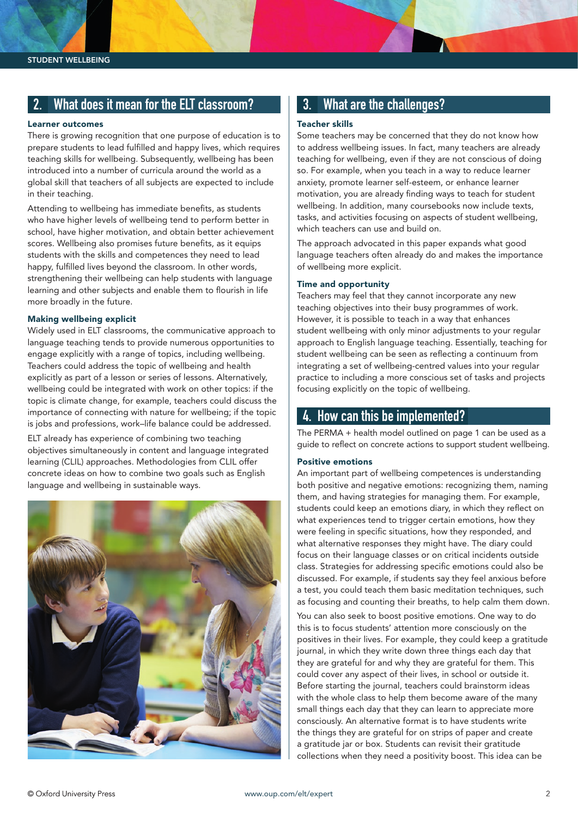## 2. What does it mean for the ELT classroom?

#### Learner outcomes

There is growing recognition that one purpose of education is to prepare students to lead fulfilled and happy lives, which requires teaching skills for wellbeing. Subsequently, wellbeing has been introduced into a number of curricula around the world as a global skill that teachers of all subjects are expected to include in their teaching.

Attending to wellbeing has immediate benefits, as students who have higher levels of wellbeing tend to perform better in school, have higher motivation, and obtain better achievement scores. Wellbeing also promises future benefits, as it equips students with the skills and competences they need to lead happy, fulfilled lives beyond the classroom. In other words, strengthening their wellbeing can help students with language learning and other subjects and enable them to flourish in life more broadly in the future.

#### Making wellbeing explicit

Widely used in ELT classrooms, the communicative approach to language teaching tends to provide numerous opportunities to engage explicitly with a range of topics, including wellbeing. Teachers could address the topic of wellbeing and health explicitly as part of a lesson or series of lessons. Alternatively, wellbeing could be integrated with work on other topics: if the topic is climate change, for example, teachers could discuss the importance of connecting with nature for wellbeing; if the topic is jobs and professions, work–life balance could be addressed.

ELT already has experience of combining two teaching objectives simultaneously in content and language integrated learning (CLIL) approaches. Methodologies from CLIL offer concrete ideas on how to combine two goals such as English language and wellbeing in sustainable ways.



# 3. What are the challenges?

#### Teacher skills

Some teachers may be concerned that they do not know how to address wellbeing issues. In fact, many teachers are already teaching for wellbeing, even if they are not conscious of doing so. For example, when you teach in a way to reduce learner anxiety, promote learner self-esteem, or enhance learner motivation, you are already finding ways to teach for student wellbeing. In addition, many coursebooks now include texts, tasks, and activities focusing on aspects of student wellbeing, which teachers can use and build on.

The approach advocated in this paper expands what good language teachers often already do and makes the importance of wellbeing more explicit.

#### Time and opportunity

Teachers may feel that they cannot incorporate any new teaching objectives into their busy programmes of work. However, it is possible to teach in a way that enhances student wellbeing with only minor adjustments to your regular approach to English language teaching. Essentially, teaching for student wellbeing can be seen as reflecting a continuum from integrating a set of wellbeing-centred values into your regular practice to including a more conscious set of tasks and projects focusing explicitly on the topic of wellbeing.

### 4. How can this be implemented?

The PERMA + health model outlined on page 1 can be used as a guide to reflect on concrete actions to support student wellbeing.

#### Positive emotions

An important part of wellbeing competences is understanding both positive and negative emotions: recognizing them, naming them, and having strategies for managing them. For example, students could keep an emotions diary, in which they reflect on what experiences tend to trigger certain emotions, how they were feeling in specific situations, how they responded, and what alternative responses they might have. The diary could focus on their language classes or on critical incidents outside class. Strategies for addressing specific emotions could also be discussed. For example, if students say they feel anxious before a test, you could teach them basic meditation techniques, such as focusing and counting their breaths, to help calm them down.

You can also seek to boost positive emotions. One way to do this is to focus students' attention more consciously on the positives in their lives. For example, they could keep a gratitude journal, in which they write down three things each day that they are grateful for and why they are grateful for them. This could cover any aspect of their lives, in school or outside it. Before starting the journal, teachers could brainstorm ideas with the whole class to help them become aware of the many small things each day that they can learn to appreciate more consciously. An alternative format is to have students write the things they are grateful for on strips of paper and create a gratitude jar or box. Students can revisit their gratitude collections when they need a positivity boost. This idea can be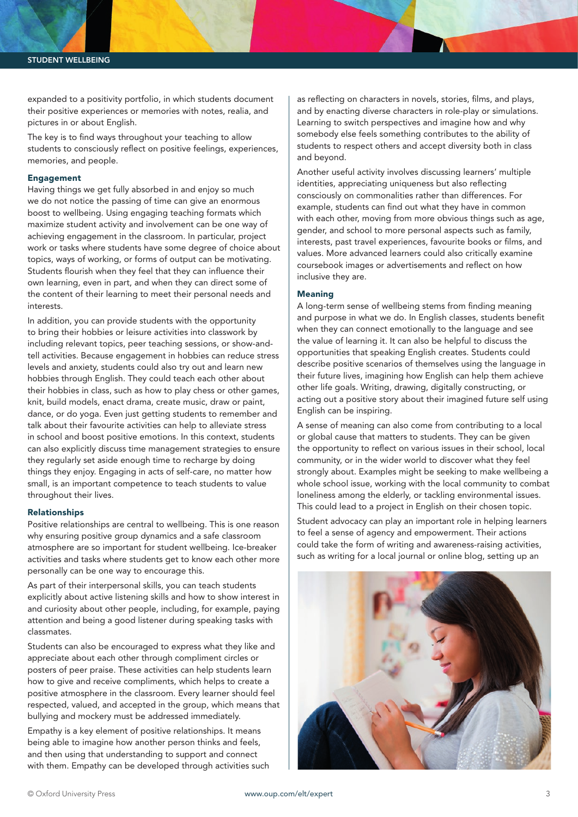expanded to a positivity portfolio, in which students document their positive experiences or memories with notes, realia, and pictures in or about English.

The key is to find ways throughout your teaching to allow students to consciously reflect on positive feelings, experiences, memories, and people.

#### Engagement

Having things we get fully absorbed in and enjoy so much we do not notice the passing of time can give an enormous boost to wellbeing. Using engaging teaching formats which maximize student activity and involvement can be one way of achieving engagement in the classroom. In particular, project work or tasks where students have some degree of choice about topics, ways of working, or forms of output can be motivating. Students flourish when they feel that they can influence their own learning, even in part, and when they can direct some of the content of their learning to meet their personal needs and interests.

In addition, you can provide students with the opportunity to bring their hobbies or leisure activities into classwork by including relevant topics, peer teaching sessions, or show-andtell activities. Because engagement in hobbies can reduce stress levels and anxiety, students could also try out and learn new hobbies through English. They could teach each other about their hobbies in class, such as how to play chess or other games, knit, build models, enact drama, create music, draw or paint, dance, or do yoga. Even just getting students to remember and talk about their favourite activities can help to alleviate stress in school and boost positive emotions. In this context, students can also explicitly discuss time management strategies to ensure they regularly set aside enough time to recharge by doing things they enjoy. Engaging in acts of self-care, no matter how small, is an important competence to teach students to value throughout their lives.

#### Relationships

Positive relationships are central to wellbeing. This is one reason why ensuring positive group dynamics and a safe classroom atmosphere are so important for student wellbeing. Ice-breaker activities and tasks where students get to know each other more personally can be one way to encourage this.

As part of their interpersonal skills, you can teach students explicitly about active listening skills and how to show interest in and curiosity about other people, including, for example, paying attention and being a good listener during speaking tasks with classmates.

Students can also be encouraged to express what they like and appreciate about each other through compliment circles or posters of peer praise. These activities can help students learn how to give and receive compliments, which helps to create a positive atmosphere in the classroom. Every learner should feel respected, valued, and accepted in the group, which means that bullying and mockery must be addressed immediately.

Empathy is a key element of positive relationships. It means being able to imagine how another person thinks and feels, and then using that understanding to support and connect with them. Empathy can be developed through activities such

as reflecting on characters in novels, stories, films, and plays, and by enacting diverse characters in role-play or simulations. Learning to switch perspectives and imagine how and why somebody else feels something contributes to the ability of students to respect others and accept diversity both in class and beyond.

Another useful activity involves discussing learners' multiple identities, appreciating uniqueness but also reflecting consciously on commonalities rather than differences. For example, students can find out what they have in common with each other, moving from more obvious things such as age, gender, and school to more personal aspects such as family, interests, past travel experiences, favourite books or films, and values. More advanced learners could also critically examine coursebook images or advertisements and reflect on how inclusive they are.

#### Meaning

A long-term sense of wellbeing stems from finding meaning and purpose in what we do. In English classes, students benefit when they can connect emotionally to the language and see the value of learning it. It can also be helpful to discuss the opportunities that speaking English creates. Students could describe positive scenarios of themselves using the language in their future lives, imagining how English can help them achieve other life goals. Writing, drawing, digitally constructing, or acting out a positive story about their imagined future self using English can be inspiring.

A sense of meaning can also come from contributing to a local or global cause that matters to students. They can be given the opportunity to reflect on various issues in their school, local community, or in the wider world to discover what they feel strongly about. Examples might be seeking to make wellbeing a whole school issue, working with the local community to combat loneliness among the elderly, or tackling environmental issues. This could lead to a project in English on their chosen topic.

Student advocacy can play an important role in helping learners to feel a sense of agency and empowerment. Their actions could take the form of writing and awareness-raising activities, such as writing for a local journal or online blog, setting up an

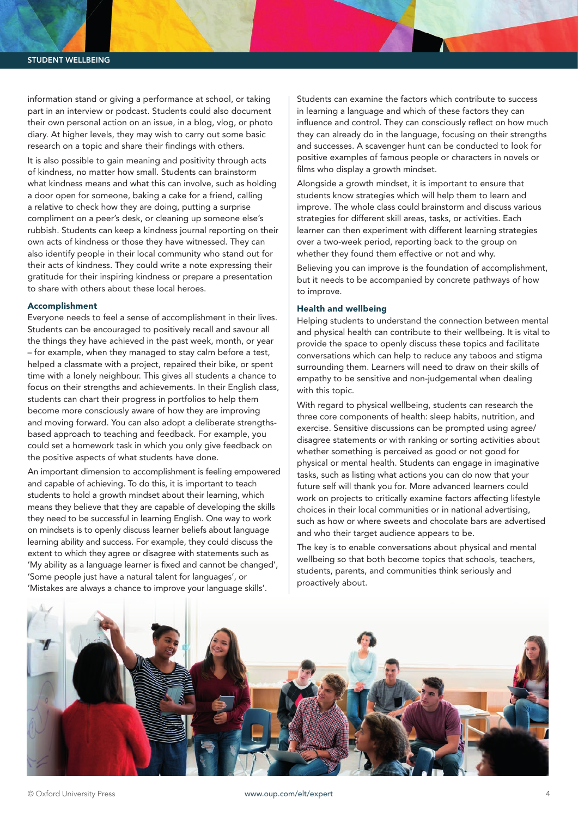information stand or giving a performance at school, or taking part in an interview or podcast. Students could also document their own personal action on an issue, in a blog, vlog, or photo diary. At higher levels, they may wish to carry out some basic research on a topic and share their findings with others.

It is also possible to gain meaning and positivity through acts of kindness, no matter how small. Students can brainstorm what kindness means and what this can involve, such as holding a door open for someone, baking a cake for a friend, calling a relative to check how they are doing, putting a surprise compliment on a peer's desk, or cleaning up someone else's rubbish. Students can keep a kindness journal reporting on their own acts of kindness or those they have witnessed. They can also identify people in their local community who stand out for their acts of kindness. They could write a note expressing their gratitude for their inspiring kindness or prepare a presentation to share with others about these local heroes.

#### Accomplishment

Everyone needs to feel a sense of accomplishment in their lives. Students can be encouraged to positively recall and savour all the things they have achieved in the past week, month, or year – for example, when they managed to stay calm before a test, helped a classmate with a project, repaired their bike, or spent time with a lonely neighbour. This gives all students a chance to focus on their strengths and achievements. In their English class, students can chart their progress in portfolios to help them become more consciously aware of how they are improving and moving forward. You can also adopt a deliberate strengthsbased approach to teaching and feedback. For example, you could set a homework task in which you only give feedback on the positive aspects of what students have done.

An important dimension to accomplishment is feeling empowered and capable of achieving. To do this, it is important to teach students to hold a growth mindset about their learning, which means they believe that they are capable of developing the skills they need to be successful in learning English. One way to work on mindsets is to openly discuss learner beliefs about language learning ability and success. For example, they could discuss the extent to which they agree or disagree with statements such as 'My ability as a language learner is fixed and cannot be changed', 'Some people just have a natural talent for languages', or 'Mistakes are always a chance to improve your language skills'.

Students can examine the factors which contribute to success in learning a language and which of these factors they can influence and control. They can consciously reflect on how much they can already do in the language, focusing on their strengths and successes. A scavenger hunt can be conducted to look for positive examples of famous people or characters in novels or films who display a growth mindset.

Alongside a growth mindset, it is important to ensure that students know strategies which will help them to learn and improve. The whole class could brainstorm and discuss various strategies for different skill areas, tasks, or activities. Each learner can then experiment with different learning strategies over a two-week period, reporting back to the group on whether they found them effective or not and why.

Believing you can improve is the foundation of accomplishment, but it needs to be accompanied by concrete pathways of how to improve.

#### Health and wellbeing

Helping students to understand the connection between mental and physical health can contribute to their wellbeing. It is vital to provide the space to openly discuss these topics and facilitate conversations which can help to reduce any taboos and stigma surrounding them. Learners will need to draw on their skills of empathy to be sensitive and non-judgemental when dealing with this topic.

With regard to physical wellbeing, students can research the three core components of health: sleep habits, nutrition, and exercise. Sensitive discussions can be prompted using agree/ disagree statements or with ranking or sorting activities about whether something is perceived as good or not good for physical or mental health. Students can engage in imaginative tasks, such as listing what actions you can do now that your future self will thank you for. More advanced learners could work on projects to critically examine factors affecting lifestyle choices in their local communities or in national advertising, such as how or where sweets and chocolate bars are advertised and who their target audience appears to be.

The key is to enable conversations about physical and mental wellbeing so that both become topics that schools, teachers, students, parents, and communities think seriously and proactively about.